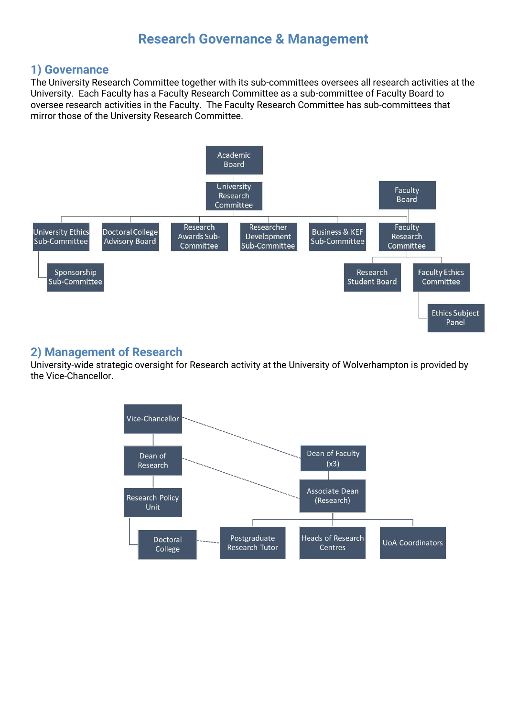# **Research Governance & Management**

## **1) Governance**

The University Research Committee together with its sub-committees oversees all research activities at the University. Each Faculty has a Faculty Research Committee as a sub-committee of Faculty Board to oversee research activities in the Faculty. The Faculty Research Committee has sub-committees that mirror those of the University Research Committee.



## **2) Management of Research**

University-wide strategic oversight for Research activity at the University of Wolverhampton is provided by the Vice-Chancellor.